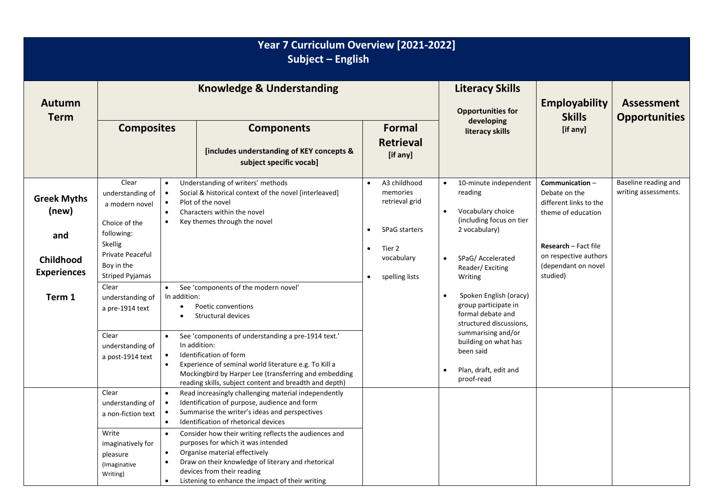| Year 7 Curriculum Overview [2021-2022]<br>Subject - English                     |                                                                                                                                                                                                                                           |              |                                                                                                                                                                                                                                                                                                                                                                                                                              |                                                  |                                                                                                       |                                                                                     |                                                                                                                                                                                 |                                                                                                                                                                            |                                              |
|---------------------------------------------------------------------------------|-------------------------------------------------------------------------------------------------------------------------------------------------------------------------------------------------------------------------------------------|--------------|------------------------------------------------------------------------------------------------------------------------------------------------------------------------------------------------------------------------------------------------------------------------------------------------------------------------------------------------------------------------------------------------------------------------------|--------------------------------------------------|-------------------------------------------------------------------------------------------------------|-------------------------------------------------------------------------------------|---------------------------------------------------------------------------------------------------------------------------------------------------------------------------------|----------------------------------------------------------------------------------------------------------------------------------------------------------------------------|----------------------------------------------|
| <b>Autumn</b><br><b>Term</b>                                                    | <b>Knowledge &amp; Understanding</b><br><b>Composites</b><br><b>Components</b><br>[includes understanding of KEY concepts &<br>subject specific vocab]                                                                                    |              |                                                                                                                                                                                                                                                                                                                                                                                                                              |                                                  | Formal<br><b>Retrieval</b><br>[if any]                                                                | <b>Literacy Skills</b><br><b>Opportunities for</b><br>developing<br>literacy skills |                                                                                                                                                                                 | <b>Employability</b><br><b>Skills</b><br>[if any]                                                                                                                          | <b>Assessment</b><br><b>Opportunities</b>    |
| <b>Greek Myths</b><br>(new)<br>and<br>Childhood<br><b>Experiences</b><br>Term 1 | Clear<br>$\bullet$<br>understanding of<br>$\bullet$<br>a modern novel<br>$\bullet$<br>Choice of the<br>following:<br>Skellig<br><b>Private Peaceful</b><br>Boy in the<br><b>Striped Pyjamas</b><br>Clear<br>$\bullet$<br>understanding of | In addition: | Understanding of writers' methods<br>Social & historical context of the novel [interleaved]<br>Plot of the novel<br>Characters within the novel<br>Key themes through the novel<br>See 'components of the modern novel'                                                                                                                                                                                                      | $\bullet$<br>$\bullet$<br>$\bullet$<br>$\bullet$ | A3 childhood<br>memories<br>retrieval grid<br>SPaG starters<br>Tier 2<br>vocabulary<br>spelling lists | $\bullet$                                                                           | 10-minute independent<br>reading<br>Vocabulary choice<br>(including focus on tier<br>2 vocabulary)<br>SPaG/ Accelerated<br>Reader/Exciting<br>Writing<br>Spoken English (oracy) | Communication-<br>Debate on the<br>different links to the<br>theme of education<br><b>Research</b> – Fact file<br>on respective authors<br>(dependant on novel<br>studied) | Baseline reading and<br>writing assessments. |
|                                                                                 | a pre-1914 text<br>Clear<br>understanding of<br>$\bullet$<br>a post-1914 text<br>Clear<br>understanding of                                                                                                                                |              | Poetic conventions<br>Structural devices<br>See 'components of understanding a pre-1914 text.'<br>In addition:<br>Identification of form<br>Experience of seminal world literature e.g. To Kill a<br>Mockingbird by Harper Lee (transferring and embedding<br>reading skills, subject content and breadth and depth)<br>Read increasingly challenging material independently<br>Identification of purpose, audience and form |                                                  |                                                                                                       |                                                                                     | group participate in<br>formal debate and<br>structured discussions,<br>summarising and/or<br>building on what has<br>been said<br>Plan, draft, edit and<br>proof-read          |                                                                                                                                                                            |                                              |
|                                                                                 | a non-fiction text<br>Write<br>$\bullet$<br>imaginatively for<br>$\bullet$<br>pleasure<br>(Imaginative<br>Writing)                                                                                                                        |              | Summarise the writer's ideas and perspectives<br>Identification of rhetorical devices<br>Consider how their writing reflects the audiences and<br>purposes for which it was intended<br>Organise material effectively<br>Draw on their knowledge of literary and rhetorical<br>devices from their reading<br>Listening to enhance the impact of their writing                                                                |                                                  |                                                                                                       |                                                                                     |                                                                                                                                                                                 |                                                                                                                                                                            |                                              |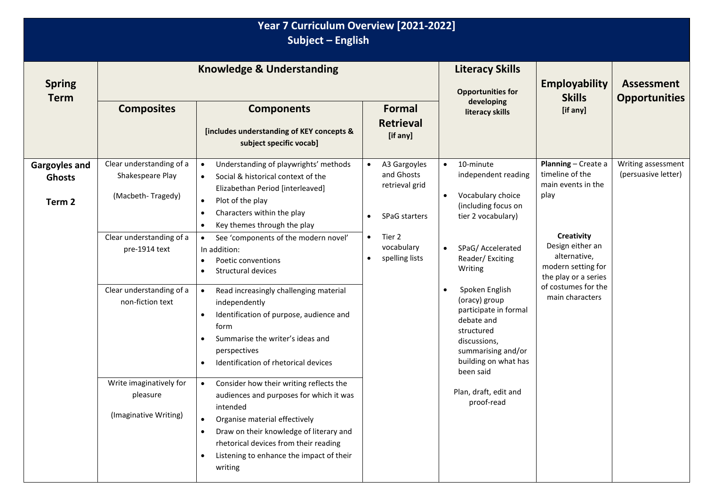## **Year 7 Curriculum Overview [2021-2022] Subject – English**

| <b>Spring</b><br><b>Term</b>                    |                                                                                                                                                                                                                                                                                                                                                                                                                                   | <b>Knowledge &amp; Understanding</b>                                                                                                                                                                                                                                                                 | <b>Literacy Skills</b><br><b>Opportunities for</b>                   | <b>Employability</b><br><b>Skills</b>                                                                                                                                                                              | <b>Assessment</b><br><b>Opportunities</b>                                                                                                     |  |
|-------------------------------------------------|-----------------------------------------------------------------------------------------------------------------------------------------------------------------------------------------------------------------------------------------------------------------------------------------------------------------------------------------------------------------------------------------------------------------------------------|------------------------------------------------------------------------------------------------------------------------------------------------------------------------------------------------------------------------------------------------------------------------------------------------------|----------------------------------------------------------------------|--------------------------------------------------------------------------------------------------------------------------------------------------------------------------------------------------------------------|-----------------------------------------------------------------------------------------------------------------------------------------------|--|
|                                                 | <b>Composites</b>                                                                                                                                                                                                                                                                                                                                                                                                                 | <b>Components</b><br>[includes understanding of KEY concepts &<br>subject specific vocab]                                                                                                                                                                                                            | Formal<br><b>Retrieval</b><br>[if any]                               | developing<br>literacy skills                                                                                                                                                                                      | [if any]                                                                                                                                      |  |
| <b>Gargoyles and</b><br><b>Ghosts</b><br>Term 2 | Clear understanding of a<br>Understanding of playwrights' methods<br>A3 Gargoyles<br>$\bullet$<br>$\bullet$<br>$\bullet$<br>and Ghosts<br>Shakespeare Play<br>Social & historical context of the<br>$\bullet$<br>retrieval grid<br>Elizabethan Period [interleaved]<br>(Macbeth-Tragedy)<br>Plot of the play<br>$\bullet$<br>Characters within the play<br>$\bullet$<br>SPaG starters<br>Key themes through the play<br>$\bullet$ | 10-minute<br>independent reading<br>Vocabulary choice<br>(including focus on<br>tier 2 vocabulary)                                                                                                                                                                                                   | Planning - Create a<br>timeline of the<br>main events in the<br>play | Writing assessment<br>(persuasive letter)                                                                                                                                                                          |                                                                                                                                               |  |
|                                                 | Clear understanding of a<br>pre-1914 text                                                                                                                                                                                                                                                                                                                                                                                         | See 'components of the modern novel'<br>$\bullet$<br>In addition:<br>Poetic conventions<br>$\bullet$<br>Structural devices<br>$\bullet$                                                                                                                                                              | Tier 2<br>$\bullet$<br>vocabulary<br>spelling lists<br>$\bullet$     | SPaG/ Accelerated<br>Reader/Exciting<br>Writing<br>Spoken English<br>(oracy) group<br>participate in formal<br>debate and<br>structured<br>discussions,<br>summarising and/or<br>building on what has<br>been said | <b>Creativity</b><br>Design either an<br>alternative,<br>modern setting for<br>the play or a series<br>of costumes for the<br>main characters |  |
|                                                 | Clear understanding of a<br>non-fiction text                                                                                                                                                                                                                                                                                                                                                                                      | Read increasingly challenging material<br>$\bullet$<br>independently<br>Identification of purpose, audience and<br>$\bullet$<br>form<br>Summarise the writer's ideas and<br>$\bullet$<br>perspectives<br>Identification of rhetorical devices<br>$\bullet$                                           |                                                                      |                                                                                                                                                                                                                    |                                                                                                                                               |  |
|                                                 | Write imaginatively for<br>pleasure<br>(Imaginative Writing)                                                                                                                                                                                                                                                                                                                                                                      | Consider how their writing reflects the<br>audiences and purposes for which it was<br>intended<br>Organise material effectively<br>Draw on their knowledge of literary and<br>$\bullet$<br>rhetorical devices from their reading<br>Listening to enhance the impact of their<br>$\bullet$<br>writing |                                                                      | Plan, draft, edit and<br>proof-read                                                                                                                                                                                |                                                                                                                                               |  |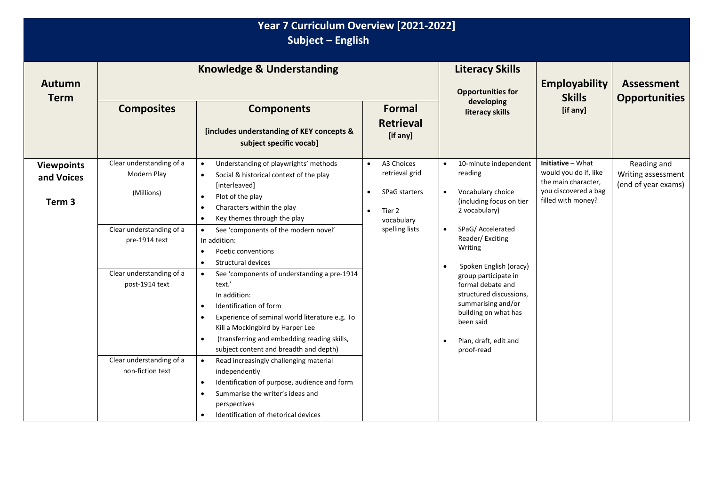| Year 7 Curriculum Overview [2021-2022]<br>Subject - English |                                                                                                                                                  |                                                                                                                                                                                                                                                                                                                                                                                                                                                                                                                                                                                                              |                                                                                                                                       |                                                                                                                                                                                                                                                                                                                    |                                                                                                                 |                                                          |  |  |  |
|-------------------------------------------------------------|--------------------------------------------------------------------------------------------------------------------------------------------------|--------------------------------------------------------------------------------------------------------------------------------------------------------------------------------------------------------------------------------------------------------------------------------------------------------------------------------------------------------------------------------------------------------------------------------------------------------------------------------------------------------------------------------------------------------------------------------------------------------------|---------------------------------------------------------------------------------------------------------------------------------------|--------------------------------------------------------------------------------------------------------------------------------------------------------------------------------------------------------------------------------------------------------------------------------------------------------------------|-----------------------------------------------------------------------------------------------------------------|----------------------------------------------------------|--|--|--|
| <b>Autumn</b><br><b>Term</b>                                |                                                                                                                                                  | <b>Knowledge &amp; Understanding</b>                                                                                                                                                                                                                                                                                                                                                                                                                                                                                                                                                                         | <b>Literacy Skills</b><br><b>Opportunities for</b>                                                                                    | <b>Employability</b><br><b>Skills</b>                                                                                                                                                                                                                                                                              | <b>Assessment</b><br><b>Opportunities</b>                                                                       |                                                          |  |  |  |
|                                                             | <b>Composites</b>                                                                                                                                | <b>Components</b><br>[includes understanding of KEY concepts &<br>subject specific vocab]                                                                                                                                                                                                                                                                                                                                                                                                                                                                                                                    | Formal<br><b>Retrieval</b><br>[if any]                                                                                                | developing<br>literacy skills                                                                                                                                                                                                                                                                                      | [if any]                                                                                                        |                                                          |  |  |  |
| <b>Viewpoints</b><br>and Voices<br>Term <sub>3</sub>        | Clear understanding of a<br>Modern Play<br>(Millions)<br>Clear understanding of a<br>pre-1914 text<br>Clear understanding of a<br>post-1914 text | Understanding of playwrights' methods<br>Social & historical context of the play<br>[interleaved]<br>Plot of the play<br>$\bullet$<br>Characters within the play<br>$\bullet$<br>Key themes through the play<br>$\bullet$<br>See 'components of the modern novel'<br>$\bullet$<br>In addition:<br>Poetic conventions<br>$\bullet$<br>Structural devices<br>See 'components of understanding a pre-1914<br>text.'<br>In addition:<br>Identification of form<br>Experience of seminal world literature e.g. To<br>Kill a Mockingbird by Harper Lee<br>(transferring and embedding reading skills,<br>$\bullet$ | A3 Choices<br>$\bullet$<br>retrieval grid<br><b>SPaG starters</b><br>$\bullet$<br>Tier 2<br>$\bullet$<br>vocabulary<br>spelling lists | 10-minute independent<br>reading<br>Vocabulary choice<br>(including focus on tier<br>2 vocabulary)<br>SPaG/ Accelerated<br>Reader/Exciting<br>Writing<br>Spoken English (oracy)<br>group participate in<br>formal debate and<br>structured discussions,<br>summarising and/or<br>building on what has<br>been said | Initiative - What<br>would you do if, like<br>the main character,<br>you discovered a bag<br>filled with money? | Reading and<br>Writing assessment<br>(end of year exams) |  |  |  |
|                                                             | Clear understanding of a<br>non-fiction text                                                                                                     | subject content and breadth and depth)<br>Read increasingly challenging material<br>independently<br>Identification of purpose, audience and form<br>$\bullet$<br>Summarise the writer's ideas and<br>perspectives<br>Identification of rhetorical devices                                                                                                                                                                                                                                                                                                                                                   |                                                                                                                                       | Plan, draft, edit and<br>proof-read                                                                                                                                                                                                                                                                                |                                                                                                                 |                                                          |  |  |  |